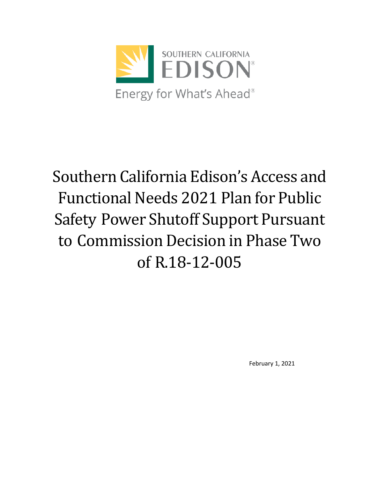

# Southern California Edison's Access and Functional Needs 2021 Plan for Public Safety Power Shutoff Support Pursuant to Commission Decision in Phase Two of R.18-12-005

February 1, 2021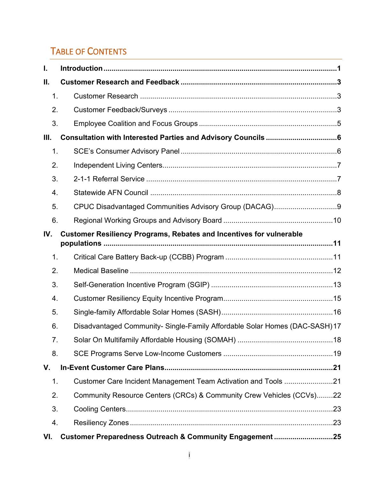# TABLE OF CONTENTS

| L.   |                                                                             |
|------|-----------------------------------------------------------------------------|
| Ш.   |                                                                             |
| 1.   |                                                                             |
| 2.   |                                                                             |
| 3.   |                                                                             |
| III. |                                                                             |
| 1.   |                                                                             |
| 2.   |                                                                             |
| 3.   |                                                                             |
| 4.   |                                                                             |
| 5.   |                                                                             |
| 6.   |                                                                             |
| IV.  | <b>Customer Resiliency Programs, Rebates and Incentives for vulnerable</b>  |
| 1.   |                                                                             |
| 2.   |                                                                             |
| 3.   |                                                                             |
| 4.   |                                                                             |
| 5.   |                                                                             |
| 6.   | Disadvantaged Community- Single-Family Affordable Solar Homes (DAC-SASH) 17 |
| 7.   |                                                                             |
| 8.   |                                                                             |
| V.   |                                                                             |
| 1.   |                                                                             |
| 2.   | Community Resource Centers (CRCs) & Community Crew Vehicles (CCVs)22        |
| 3.   |                                                                             |
| 4.   |                                                                             |
| VI.  | Customer Preparedness Outreach & Community Engagement 25                    |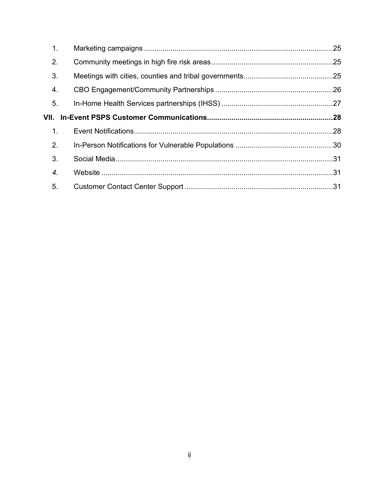| 1.   |  |  |  |  |  |  |  |
|------|--|--|--|--|--|--|--|
| 2.   |  |  |  |  |  |  |  |
| 3.   |  |  |  |  |  |  |  |
| 4.   |  |  |  |  |  |  |  |
| 5.   |  |  |  |  |  |  |  |
| VII. |  |  |  |  |  |  |  |
|      |  |  |  |  |  |  |  |
| 1.   |  |  |  |  |  |  |  |
| 2.   |  |  |  |  |  |  |  |
| 3.   |  |  |  |  |  |  |  |
| 4.   |  |  |  |  |  |  |  |
| 5.   |  |  |  |  |  |  |  |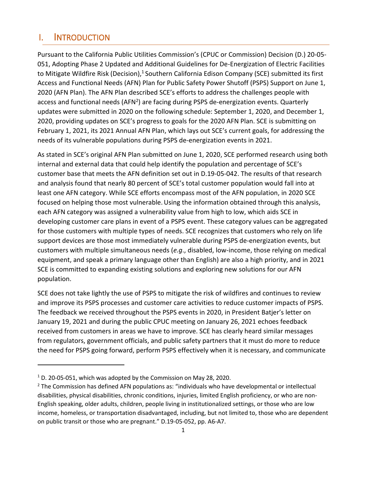# <span id="page-3-0"></span>I. INTRODUCTION

Pursuant to the California Public Utilities Commission's (CPUC or Commission) Decision (D.) 20-05- 051, Adopting Phase 2 Updated and Additional Guidelines for De-Energization of Electric Facilities to Mitigate Wildfire Risk (Decision),<sup>1</sup> Southern California Edison Company (SCE) submitted its first Access and Functional Needs (AFN) Plan for Public Safety Power Shutoff (PSPS) Support on June 1, 2020 (AFN Plan). The AFN Plan described SCE's efforts to address the challenges people with access and functional needs (AFN<sup>2</sup>) are facing during PSPS de-energization events. Quarterly updates were submitted in 2020 on the following schedule: September 1, 2020, and December 1, 2020, providing updates on SCE's progress to goals for the 2020 AFN Plan. SCE is submitting on February 1, 2021, its 2021 Annual AFN Plan, which lays out SCE's current goals, for addressing the needs of its vulnerable populations during PSPS de-energization events in 2021.

As stated in SCE's original AFN Plan submitted on June 1, 2020, SCE performed research using both internal and external data that could help identify the population and percentage of SCE's customer base that meets the AFN definition set out in D.19-05-042. The results of that research and analysis found that nearly 80 percent of SCE's total customer population would fall into at least one AFN category. While SCE efforts encompass most of the AFN population, in 2020 SCE focused on helping those most vulnerable. Using the information obtained through this analysis, each AFN category was assigned a vulnerability value from high to low, which aids SCE in developing customer care plans in event of a PSPS event. These category values can be aggregated for those customers with multiple types of needs. SCE recognizes that customers who rely on life support devices are those most immediately vulnerable during PSPS de-energization events, but customers with multiple simultaneous needs (*e.g*., disabled, low-income, those relying on medical equipment, and speak a primary language other than English) are also a high priority, and in 2021 SCE is committed to expanding existing solutions and exploring new solutions for our AFN population.

SCE does not take lightly the use of PSPS to mitigate the risk of wildfires and continues to review and improve its PSPS processes and customer care activities to reduce customer impacts of PSPS. The feedback we received throughout the PSPS events in 2020, in President Batjer's letter on January 19, 2021 and during the public CPUC meeting on January 26, 2021 echoes feedback received from customers in areas we have to improve. SCE has clearly heard similar messages from regulators, government officials, and public safety partners that it must do more to reduce the need for PSPS going forward, perform PSPS effectively when it is necessary, and communicate

 $1$  D. 20-05-051, which was adopted by the Commission on May 28, 2020.

<sup>&</sup>lt;sup>2</sup> The Commission has defined AFN populations as: "individuals who have developmental or intellectual disabilities, physical disabilities, chronic conditions, injuries, limited English proficiency, or who are non-English speaking, older adults, children, people living in institutionalized settings, or those who are low income, homeless, or transportation disadvantaged, including, but not limited to, those who are dependent on public transit or those who are pregnant." D.19-05-052, pp. A6-A7.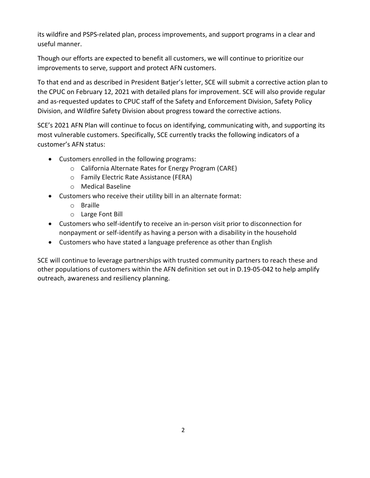its wildfire and PSPS-related plan, process improvements, and support programs in a clear and useful manner.

Though our efforts are expected to benefit all customers, we will continue to prioritize our improvements to serve, support and protect AFN customers.

To that end and as described in President Batjer's letter, SCE will submit a corrective action plan to the CPUC on February 12, 2021 with detailed plans for improvement. SCE will also provide regular and as-requested updates to CPUC staff of the Safety and Enforcement Division, Safety Policy Division, and Wildfire Safety Division about progress toward the corrective actions.

SCE's 2021 AFN Plan will continue to focus on identifying, communicating with, and supporting its most vulnerable customers. Specifically, SCE currently tracks the following indicators of a customer's AFN status:

- Customers enrolled in the following programs:
	- o California Alternate Rates for Energy Program (CARE)
	- o Family Electric Rate Assistance (FERA)
	- o Medical Baseline
- Customers who receive their utility bill in an alternate format:
	- o Braille
	- o Large Font Bill
- Customers who self-identify to receive an in-person visit prior to disconnection for nonpayment or self-identify as having a person with a disability in the household
- Customers who have stated a language preference as other than English

SCE will continue to leverage partnerships with trusted community partners to reach these and other populations of customers within the AFN definition set out in D.19-05-042 to help amplify outreach, awareness and resiliency planning.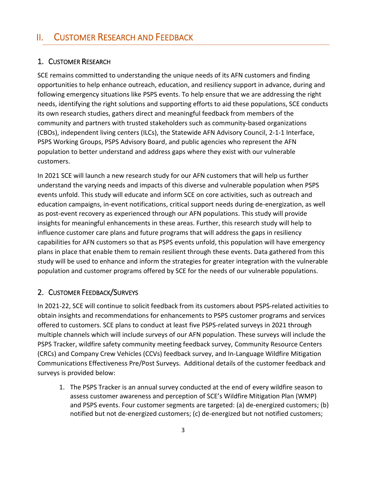# <span id="page-5-0"></span>II. CUSTOMER RESEARCH AND FEEDBACK

# <span id="page-5-1"></span>1. CUSTOMER RESEARCH

SCE remains committed to understanding the unique needs of its AFN customers and finding opportunities to help enhance outreach, education, and resiliency support in advance, during and following emergency situations like PSPS events. To help ensure that we are addressing the right needs, identifying the right solutions and supporting efforts to aid these populations, SCE conducts its own research studies, gathers direct and meaningful feedback from members of the community and partners with trusted stakeholders such as community-based organizations (CBOs), independent living centers (ILCs), the Statewide AFN Advisory Council, 2-1-1 Interface, PSPS Working Groups, PSPS Advisory Board, and public agencies who represent the AFN population to better understand and address gaps where they exist with our vulnerable customers.

In 2021 SCE will launch a new research study for our AFN customers that will help us further understand the varying needs and impacts of this diverse and vulnerable population when PSPS events unfold. This study will educate and inform SCE on core activities, such as outreach and education campaigns, in-event notifications, critical support needs during de-energization, as well as post-event recovery as experienced through our AFN populations. This study will provide insights for meaningful enhancements in these areas. Further, this research study will help to influence customer care plans and future programs that will address the gaps in resiliency capabilities for AFN customers so that as PSPS events unfold, this population will have emergency plans in place that enable them to remain resilient through these events. Data gathered from this study will be used to enhance and inform the strategies for greater integration with the vulnerable population and customer programs offered by SCE for the needs of our vulnerable populations.

# <span id="page-5-2"></span>2. CUSTOMER FEEDBACK/SURVEYS

In 2021-22, SCE will continue to solicit feedback from its customers about PSPS-related activities to obtain insights and recommendations for enhancements to PSPS customer programs and services offered to customers. SCE plans to conduct at least five PSPS-related surveys in 2021 through multiple channels which will include surveys of our AFN population. These surveys will include the PSPS Tracker, wildfire safety community meeting feedback survey, Community Resource Centers (CRCs) and Company Crew Vehicles (CCVs) feedback survey, and In-Language Wildfire Mitigation Communications Effectiveness Pre/Post Surveys. Additional details of the customer feedback and surveys is provided below:

1. The PSPS Tracker is an annual survey conducted at the end of every wildfire season to assess customer awareness and perception of SCE's Wildfire Mitigation Plan (WMP) and PSPS events. Four customer segments are targeted: (a) de-energized customers; (b) notified but not de-energized customers; (c) de-energized but not notified customers;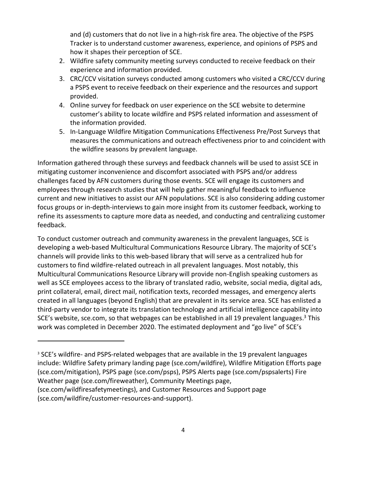and (d) customers that do not live in a high-risk fire area. The objective of the PSPS Tracker is to understand customer awareness, experience, and opinions of PSPS and how it shapes their perception of SCE.

- 2. Wildfire safety community meeting surveys conducted to receive feedback on their experience and information provided.
- 3. CRC/CCV visitation surveys conducted among customers who visited a CRC/CCV during a PSPS event to receive feedback on their experience and the resources and support provided.
- 4. Online survey for feedback on user experience on the SCE website to determine customer's ability to locate wildfire and PSPS related information and assessment of the information provided.
- 5. In-Language Wildfire Mitigation Communications Effectiveness Pre/Post Surveys that measures the communications and outreach effectiveness prior to and coincident with the wildfire seasons by prevalent language.

Information gathered through these surveys and feedback channels will be used to assist SCE in mitigating customer inconvenience and discomfort associated with PSPS and/or address challenges faced by AFN customers during those events. SCE will engage its customers and employees through research studies that will help gather meaningful feedback to influence current and new initiatives to assist our AFN populations. SCE is also considering adding customer focus groups or in-depth-interviews to gain more insight from its customer feedback, working to refine its assessments to capture more data as needed, and conducting and centralizing customer feedback.

To conduct customer outreach and community awareness in the prevalent languages, SCE is developing a web-based Multicultural Communications Resource Library. The majority of SCE's channels will provide links to this web-based library that will serve as a centralized hub for customers to find wildfire-related outreach in all prevalent languages. Most notably, this Multicultural Communications Resource Library will provide non-English speaking customers as well as SCE employees access to the library of translated radio, website, social media, digital ads, print collateral, email, direct mail, notification texts, recorded messages, and emergency alerts created in all languages (beyond English) that are prevalent in its service area. SCE has enlisted a third-party vendor to integrate its translation technology and artificial intelligence capability into SCE's website, sce.com, so that webpages can be established in all 19 prevalent languages.<sup>3</sup> This work was completed in December 2020. The estimated deployment and "go live" of SCE's

<sup>&</sup>lt;sup>3</sup> SCE's wildfire- and PSPS-related webpages that are available in the 19 prevalent languages include: Wildfire Safety primary landing page (sce.com/wildfire), Wildfire Mitigation Efforts page (sce.com/mitigation), PSPS page (sce.com/psps), PSPS Alerts page (sce.com/pspsalerts) Fire Weather page (sce.com/fireweather), Community Meetings page,

<sup>(</sup>sce.com/wildfiresafetymeetings), and Customer Resources and Support page (sce.com/wildfire/customer-resources-and-support).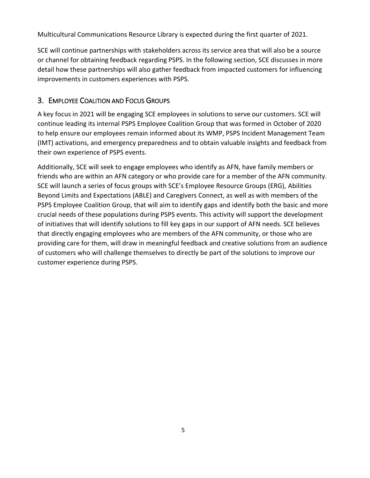Multicultural Communications Resource Library is expected during the first quarter of 2021.

SCE will continue partnerships with stakeholders across its service area that will also be a source or channel for obtaining feedback regarding PSPS. In the following section, SCE discusses in more detail how these partnerships will also gather feedback from impacted customers for influencing improvements in customers experiences with PSPS.

# <span id="page-7-0"></span>3. EMPLOYEE COALITION AND FOCUS GROUPS

A key focus in 2021 will be engaging SCE employees in solutions to serve our customers. SCE will continue leading its internal PSPS Employee Coalition Group that was formed in October of 2020 to help ensure our employees remain informed about its WMP, PSPS Incident Management Team (IMT) activations, and emergency preparedness and to obtain valuable insights and feedback from their own experience of PSPS events.

Additionally, SCE will seek to engage employees who identify as AFN, have family members or friends who are within an AFN category or who provide care for a member of the AFN community. SCE will launch a series of focus groups with SCE's Employee Resource Groups (ERG), Abilities Beyond Limits and Expectations (ABLE) and Caregivers Connect, as well as with members of the PSPS Employee Coalition Group, that will aim to identify gaps and identify both the basic and more crucial needs of these populations during PSPS events. This activity will support the development of initiatives that will identify solutions to fill key gaps in our support of AFN needs. SCE believes that directly engaging employees who are members of the AFN community, or those who are providing care for them, will draw in meaningful feedback and creative solutions from an audience of customers who will challenge themselves to directly be part of the solutions to improve our customer experience during PSPS.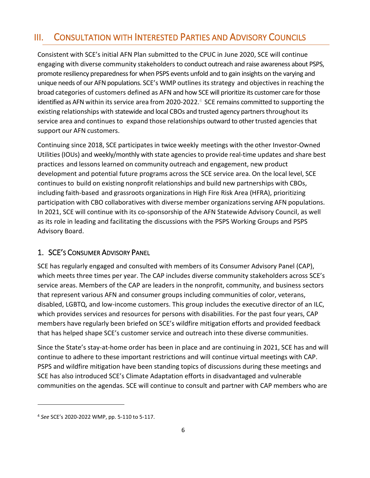# <span id="page-8-0"></span>III. CONSULTATION WITH INTERESTED PARTIES AND ADVISORY COUNCILS

Consistent with SCE's initial AFN Plan submitted to the CPUC in June 2020, SCE will continue engaging with diverse community stakeholders to conduct outreach and raise awareness about PSPS, promote resiliency preparedness for when PSPS events unfold and to gain insights on the varying and unique needs of our AFN populations. SCE's WMP outlines itsstrategy and objectives in reaching the broad categories of customers defined as AFN and how SCE will prioritize its customer care for those identified as AFN within its service area from 2020-2022.<sup>4</sup> SCE remains committed to supporting the existing relationships with statewide and local CBOs and trusted agency partners throughout its service area and continues to expand those relationships outward to other trusted agenciesthat support our AFN customers.

Continuing since 2018, SCE participates in twice weekly meetings with the other Investor-Owned Utilities (IOUs) and weekly/monthly with state agencies to provide real-time updates and share best practices and lessons learned on community outreach and engagement, new product development and potential future programs across the SCE service area. On the local level, SCE continuesto build on existing nonprofit relationships and build new partnerships with CBOs, including faith-based and grassroots organizations in High Fire Risk Area (HFRA), prioritizing participation with CBO collaboratives with diverse member organizations serving AFN populations. In 2021, SCE will continue with its co-sponsorship of the AFN Statewide Advisory Council, as well as its role in leading and facilitating the discussions with the PSPS Working Groups and PSPS Advisory Board.

## <span id="page-8-1"></span>1. SCE'S CONSUMER ADVISORY PANEL

SCE has regularly engaged and consulted with members of its Consumer Advisory Panel (CAP), which meets three times per year. The CAP includes diverse community stakeholders across SCE's service areas. Members of the CAP are leaders in the nonprofit, community, and business sectors that represent various AFN and consumer groups including communities of color, veterans, disabled, LGBTQ, and low-income customers. This group includes the executive director of an ILC, which provides services and resources for persons with disabilities. For the past four years, CAP members have regularly been briefed on SCE's wildfire mitigation efforts and provided feedback that has helped shape SCE's customer service and outreach into these diverse communities.

Since the State's stay-at-home order has been in place and are continuing in 2021, SCE has and will continue to adhere to these important restrictions and will continue virtual meetings with CAP. PSPS and wildfire mitigation have been standing topics of discussions during these meetings and SCE has also introduced SCE's Climate Adaptation efforts in disadvantaged and vulnerable communities on the agendas. SCE will continue to consult and partner with CAP members who are

<sup>4</sup> *See* SCE's 2020-2022 WMP, pp. 5-110 to 5-117.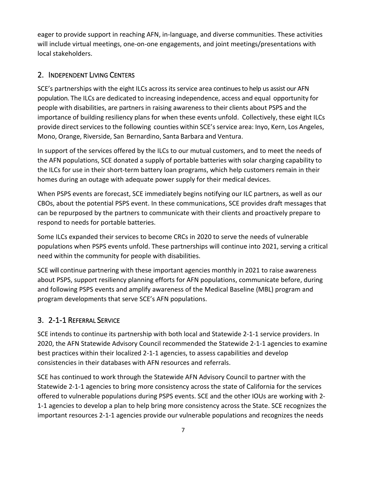eager to provide support in reaching AFN, in-language, and diverse communities. These activities will include virtual meetings, one-on-one engagements, and joint meetings/presentations with local stakeholders.

# <span id="page-9-0"></span>2. INDEPENDENT LIVING CENTERS

SCE's partnerships with the eight ILCs across its service area continues to help us assist our AFN population. The ILCs are dedicated to increasing independence, access and equal opportunity for people with disabilities, are partners in raising awareness to their clients about PSPS and the importance of building resiliency plans for when these events unfold. Collectively, these eight ILCs provide direct services to the following counties within SCE's service area: Inyo, Kern, Los Angeles, Mono, Orange, Riverside, San Bernardino, Santa Barbara and Ventura.

In support of the services offered by the ILCs to our mutual customers, and to meet the needs of the AFN populations, SCE donated a supply of portable batteries with solar charging capability to the ILCs for use in their short-term battery loan programs, which help customers remain in their homes during an outage with adequate power supply for their medical devices.

When PSPS events are forecast, SCE immediately begins notifying our ILC partners, as well as our CBOs, about the potential PSPS event. In these communications, SCE provides draft messages that can be repurposed by the partners to communicate with their clients and proactively prepare to respond to needs for portable batteries.

Some ILCs expanded their services to become CRCs in 2020 to serve the needs of vulnerable populations when PSPS events unfold. These partnerships will continue into 2021, serving a critical need within the community for people with disabilities.

SCE will continue partnering with these important agencies monthly in 2021 to raise awareness about PSPS, support resiliency planning efforts for AFN populations, communicate before, during and following PSPS events and amplify awareness of the Medical Baseline (MBL) program and program developments that serve SCE's AFN populations.

# <span id="page-9-1"></span>3. 2-1-1 REFERRAL SERVICE

SCE intends to continue its partnership with both local and Statewide 2-1-1 service providers. In 2020, the AFN Statewide Advisory Council recommended the Statewide 2-1-1 agencies to examine best practices within their localized 2-1-1 agencies, to assess capabilities and develop consistencies in their databases with AFN resources and referrals.

SCE has continued to work through the Statewide AFN Advisory Council to partner with the Statewide 2-1-1 agencies to bring more consistency across the state of California for the services offered to vulnerable populations during PSPS events. SCE and the other IOUs are working with 2- 1-1 agencies to develop a plan to help bring more consistency across the State. SCE recognizes the important resources 2-1-1 agencies provide our vulnerable populations and recognizes the needs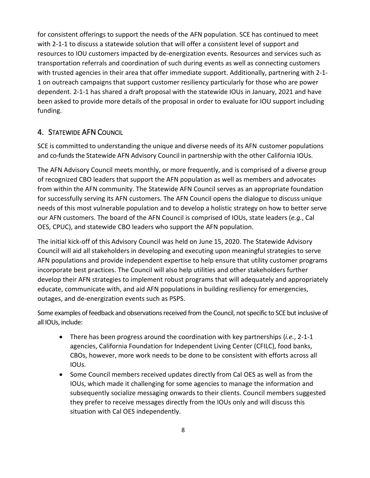for consistent offerings to support the needs of the AFN population. SCE has continued to meet with 2-1-1 to discuss a statewide solution that will offer a consistent level of support and resources to IOU customers impacted by de-energization events. Resources and services such as transportation referrals and coordination of such during events as well as connecting customers with trusted agencies in their area that offer immediate support. Additionally, partnering with 2-1- 1 on outreach campaigns that support customer resiliency particularly for those who are power dependent. 2-1-1 has shared a draft proposal with the statewide IOUs in January, 2021 and have been asked to provide more details of the proposal in order to evaluate for IOU support including funding.

## <span id="page-10-0"></span>4. STATEWIDE AFN COUNCIL

SCE is committed to understanding the unique and diverse needs of its AFN customer populations and co-funds the Statewide AFN Advisory Council in partnership with the other California IOUs.

The AFN Advisory Council meets monthly, or more frequently, and is comprised of a diverse group of recognized CBO leaders that support the AFN population as well as members and advocates from within the AFN community. The Statewide AFN Council serves as an appropriate foundation for successfully serving its AFN customers. The AFN Council opens the dialogue to discuss unique needs of this most vulnerable population and to develop a holistic strategy on how to better serve our AFN customers. The board of the AFN Council is comprised of IOUs, state leaders (*e.g.*, Cal OES, CPUC), and statewide CBO leaders who support the AFN population.

The initial kick-off of this Advisory Council was held on June 15, 2020. The Statewide Advisory Council will aid all stakeholders in developing and executing upon meaningful strategies to serve AFN populations and provide independent expertise to help ensure that utility customer programs incorporate best practices. The Council will also help utilities and other stakeholders further develop their AFN strategies to implement robust programs that will adequately and appropriately educate, communicate with, and aid AFN populations in building resiliency for emergencies, outages, and de-energization events such as PSPS.

Some examples of feedback and observations received from the Council, not specific to SCE but inclusive of all IOUs, include:

- There has been progress around the coordination with key partnerships (*i.e.*, 2-1-1 agencies, California Foundation for Independent Living Center (CFILC), food banks, CBOs, however, more work needs to be done to be consistent with efforts across all IOUs.
- Some Council members received updates directly from Cal OES as well as from the IOUs, which made it challenging for some agencies to manage the information and subsequently socialize messaging onwards to their clients. Council members suggested they prefer to receive messages directly from the IOUs only and will discuss this situation with Cal OES independently.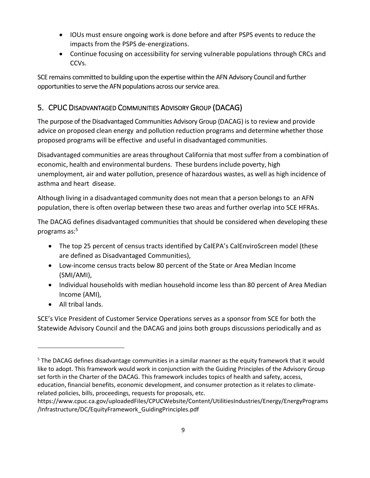- IOUs must ensure ongoing work is done before and after PSPS events to reduce the impacts from the PSPS de-energizations.
- Continue focusing on accessibility for serving vulnerable populations through CRCs and CCVs.

SCE remains committed to building upon the expertise within the AFN Advisory Council and further opportunities to serve the AFN populations across our service area.

# <span id="page-11-0"></span>5. CPUC DISADVANTAGED COMMUNITIES ADVISORY GROUP (DACAG)

The purpose of the Disadvantaged Communities Advisory Group (DACAG) is to review and provide advice on proposed clean energy and pollution reduction programs and determine whether those proposed programs will be effective and useful in disadvantaged communities.

Disadvantaged communities are areasthroughout California that most suffer from a combination of economic, health and environmental burdens. These burdensinclude poverty, high unemployment, air and water pollution, presence of hazardous wastes, as well as high incidence of asthma and heart disease.

Although living in a disadvantaged community does not mean that a person belongsto an AFN population, there is often overlap between these two areas and further overlap into SCE HFRAs.

The DACAG defines disadvantaged communities that should be considered when developing these programs as:<sup>5</sup>

- The top 25 percent of census tracts identified by CalEPA's CalEnviroScreen model (these are defined as Disadvantaged Communities),
- Low-income census tracts below 80 percent of the State or Area Median Income (SMI/AMI),
- Individual households with median household income less than 80 percent of Area Median Income (AMI),
- All tribal lands.

SCE's Vice President of Customer Service Operations serves as a sponsor from SCE for both the Statewide Advisory Council and the DACAG and joins both groups discussions periodically and as

<sup>&</sup>lt;sup>5</sup> The DACAG defines disadvantage communities in a similar manner as the equity framework that it would like to adopt. This framework would work in conjunction with the Guiding Principles of the Advisory Group set forth in the Charter of the DACAG. This framework includes topics of health and safety, access, education, financial benefits, economic development, and consumer protection as it relates to climaterelated policies, bills, proceedings, requests for proposals, etc.

https://www.cpuc.ca.gov/uploadedFiles/CPUCWebsite/Content/UtilitiesIndustries/Energy/EnergyPrograms /Infrastructure/DC/EquityFramework\_GuidingPrinciples.pdf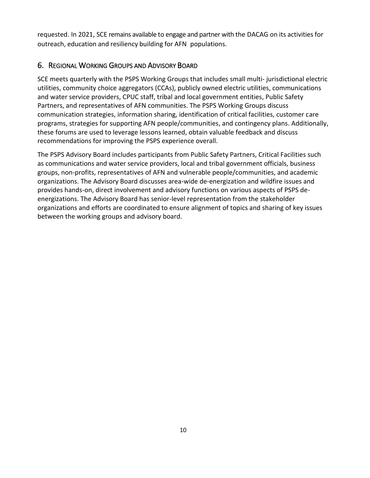requested. In 2021, SCE remains available to engage and partner with the DACAG on its activities for outreach, education and resiliency building for AFN populations.

# <span id="page-12-0"></span>6. REGIONAL WORKING GROUPS AND ADVISORY BOARD

SCE meets quarterly with the PSPS Working Groups that includes small multi- jurisdictional electric utilities, community choice aggregators (CCAs), publicly owned electric utilities, communications and water service providers, CPUC staff, tribal and local government entities, Public Safety Partners, and representatives of AFN communities. The PSPS Working Groups discuss communication strategies, information sharing, identification of critical facilities, customer care programs, strategies for supporting AFN people/communities, and contingency plans. Additionally, these forums are used to leverage lessons learned, obtain valuable feedback and discuss recommendations for improving the PSPS experience overall.

The PSPS Advisory Board includes participants from Public Safety Partners, Critical Facilities such as communications and water service providers, local and tribal government officials, business groups, non-profits, representatives of AFN and vulnerable people/communities, and academic organizations. The Advisory Board discusses area-wide de-energization and wildfire issues and provides hands-on, direct involvement and advisory functions on various aspects of PSPS deenergizations. The Advisory Board has senior-level representation from the stakeholder organizations and efforts are coordinated to ensure alignment of topics and sharing of key issues between the working groups and advisory board.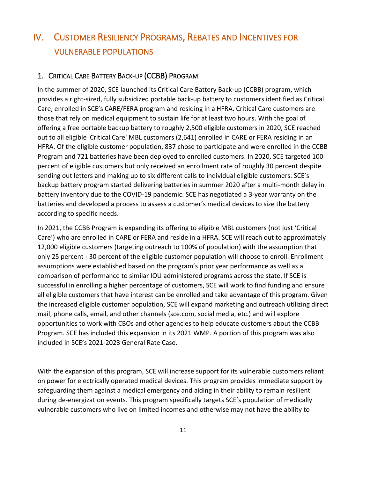# <span id="page-13-0"></span>IV. CUSTOMER RESILIENCY PROGRAMS, REBATES AND INCENTIVES FOR VULNERABLE POPULATIONS

## <span id="page-13-1"></span>1. CRITICAL CARE BATTERY BACK-UP (CCBB) PROGRAM

In the summer of 2020, SCE launched its Critical Care Battery Back-up (CCBB) program, which provides a right-sized, fully subsidized portable back-up battery to customers identified as Critical Care, enrolled in SCE's CARE/FERA program and residing in a HFRA. Critical Care customers are those that rely on medical equipment to sustain life for at least two hours. With the goal of offering a free portable backup battery to roughly 2,500 eligible customers in 2020, SCE reached out to all eligible 'Critical Care' MBL customers (2,641) enrolled in CARE or FERA residing in an HFRA. Of the eligible customer population, 837 chose to participate and were enrolled in the CCBB Program and 721 batteries have been deployed to enrolled customers. In 2020, SCE targeted 100 percent of eligible customers but only received an enrollment rate of roughly 30 percent despite sending out letters and making up to six different calls to individual eligible customers. SCE's backup battery program started delivering batteries in summer 2020 after a multi-month delay in battery inventory due to the COVID-19 pandemic. SCE has negotiated a 3-year warranty on the batteries and developed a process to assess a customer's medical devices to size the battery according to specific needs.

In 2021, the CCBB Program is expanding its offering to eligible MBL customers (not just 'Critical Care') who are enrolled in CARE or FERA and reside in a HFRA. SCE will reach out to approximately 12,000 eligible customers (targeting outreach to 100% of population) with the assumption that only 25 percent - 30 percent of the eligible customer population will choose to enroll. Enrollment assumptions were established based on the program's prior year performance as well as a comparison of performance to similar IOU administered programs across the state. If SCE is successful in enrolling a higher percentage of customers, SCE will work to find funding and ensure all eligible customers that have interest can be enrolled and take advantage of this program. Given the increased eligible customer population, SCE will expand marketing and outreach utilizing direct mail, phone calls, email, and other channels (sce.com, social media, etc.) and will explore opportunities to work with CBOs and other agencies to help educate customers about the CCBB Program. SCE has included this expansion in its 2021 WMP. A portion of this program was also included in SCE's 2021-2023 General Rate Case.

With the expansion of this program, SCE will increase support for its vulnerable customers reliant on power for electrically operated medical devices. This program provides immediate support by safeguarding them against a medical emergency and aiding in their ability to remain resilient during de-energization events. This program specifically targets SCE's population of medically vulnerable customers who live on limited incomes and otherwise may not have the ability to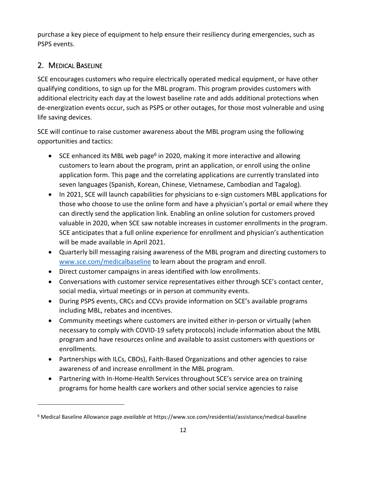purchase a key piece of equipment to help ensure their resiliency during emergencies, such as PSPS events.

# <span id="page-14-0"></span>2. MEDICAL BASELINE

SCE encourages customers who require electrically operated medical equipment, or have other qualifying conditions, to sign up for the MBL program. This program provides customers with additional electricity each day at the lowest baseline rate and adds additional protections when de-energization events occur, such as PSPS or other outages, for those most vulnerable and using life saving devices.

SCE will continue to raise customer awareness about the MBL program using the following opportunities and tactics:

- SCE enhanced its MBL web page<sup>6</sup> in 2020, making it more interactive and allowing customers to learn about the program, print an application, or enroll using the online application form. This page and the correlating applications are currently translated into seven languages (Spanish, Korean, Chinese, Vietnamese, Cambodian and Tagalog).
- In 2021, SCE will launch capabilities for physicians to e-sign customers MBL applications for those who choose to use the online form and have a physician's portal or email where they can directly send the application link. Enabling an online solution for customers proved valuable in 2020, when SCE saw notable increases in customer enrollments in the program. SCE anticipates that a full online experience for enrollment and physician's authentication will be made available in April 2021.
- Quarterly bill messaging raising awareness of the MBL program and directing customers to [www.sce.com/medicalbaseline](http://www.sce.com/medicalbaseline) to learn about the program and enroll.
- Direct customer campaigns in areas identified with low enrollments.
- Conversations with customer service representatives either through SCE's contact center, social media, virtual meetings or in person at community events.
- During PSPS events, CRCs and CCVs provide information on SCE's available programs including MBL, rebates and incentives.
- Community meetings where customers are invited either in-person or virtually (when necessary to comply with COVID-19 safety protocols) include information about the MBL program and have resources online and available to assist customers with questions or enrollments.
- Partnerships with ILCs, CBOs), Faith-Based Organizations and other agencies to raise awareness of and increase enrollment in the MBL program.
- Partnering with In-Home-Health Services throughout SCE's service area on training programs for home health care workers and other social service agencies to raise

<sup>6</sup> Medical Baseline Allowance page *available at* https://www.sce.com/residential/assistance/medical-baseline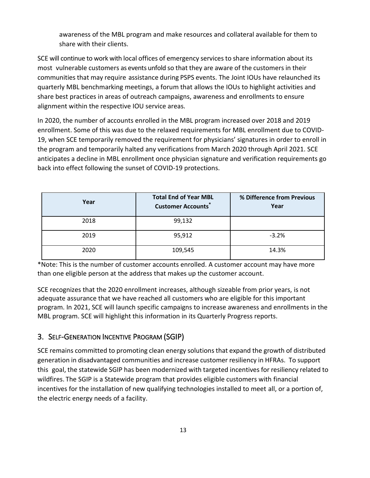awareness of the MBL program and make resources and collateral available for them to share with their clients.

SCE will continue to work with local offices of emergency services to share information about its most vulnerable customers as events unfold so that they are aware of the customers in their communities that may require assistance during PSPS events. The Joint IOUs have relaunched its quarterly MBL benchmarking meetings, a forum that allows the IOUs to highlight activities and share best practices in areas of outreach campaigns, awareness and enrollments to ensure alignment within the respective IOU service areas.

In 2020, the number of accounts enrolled in the MBL program increased over 2018 and 2019 enrollment. Some of this was due to the relaxed requirements for MBL enrollment due to COVID-19, when SCE temporarily removed the requirement for physicians' signatures in order to enroll in the program and temporarily halted any verifications from March 2020 through April 2021. SCE anticipates a decline in MBL enrollment once physician signature and verification requirements go back into effect following the sunset of COVID-19 protections.

| Year | <b>Total End of Year MBL</b><br><b>Customer Accounts*</b> | % Difference from Previous<br>Year |
|------|-----------------------------------------------------------|------------------------------------|
| 2018 | 99,132                                                    |                                    |
| 2019 | 95,912                                                    | $-3.2%$                            |
| 2020 | 109,545                                                   | 14.3%                              |

\*Note: This is the number of customer accounts enrolled. A customer account may have more than one eligible person at the address that makes up the customer account.

SCE recognizes that the 2020 enrollment increases, although sizeable from prior years, is not adequate assurance that we have reached all customers who are eligible for this important program. In 2021, SCE will launch specific campaigns to increase awareness and enrollments in the MBL program. SCE will highlight this information in its Quarterly Progress reports.

# <span id="page-15-0"></span>3. SELF-GENERATION INCENTIVE PROGRAM (SGIP)

SCE remains committed to promoting clean energy solutions that expand the growth of distributed generation in disadvantaged communities and increase customer resiliency in HFRAs. To support this goal, the statewide SGIP has been modernized with targeted incentives for resiliency related to wildfires. The SGIP is a Statewide program that provides eligible customers with financial incentives for the installation of new qualifying technologies installed to meet all, or a portion of, the electric energy needs of a facility.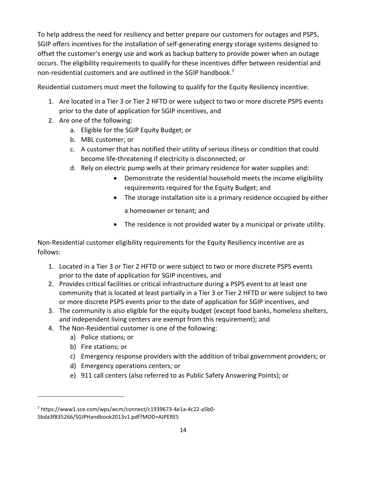To help address the need for resiliency and better prepare our customers for outages and PSPS, SGIP offers incentives for the installation of self-generating energy storage systems designed to offset the customer's energy use and work as backup battery to provide power when an outage occurs. The eligibility requirements to qualify for these incentives differ between residential and non-residential customers and are outlined in the SGIP handbook.<sup>7</sup>

Residential customers must meet the following to qualify for the Equity Resiliency incentive:

- 1. Are located in a Tier 3 or Tier 2 HFTD or were subject to two or more discrete PSPS events prior to the date of application for SGIP incentives, and
- 2. Are one of the following:
	- a. Eligible for the SGIP Equity Budget; or
	- b. MBL customer; or
	- c. A customer that has notified their utility of serious illness or condition that could become life-threatening if electricity is disconnected; or
	- d. Rely on electric pump wells at their primary residence for water supplies and:
		- Demonstrate the residential household meets the income eligibility requirements required for the Equity Budget; and
		- The storage installation site is a primary residence occupied by either a homeowner or tenant; and
		- The residence is not provided water by a municipal or private utility.

Non-Residential customer eligibility requirements for the Equity Resiliency incentive are as follows:

- 1. Located in a Tier 3 or Tier 2 HFTD or were subject to two or more discrete PSPS events prior to the date of application for SGIP incentives, and
- 2. Provides critical facilities or critical infrastructure during a PSPS event to at least one community that is located at least partially in a Tier 3 or Tier 2 HFTD or were subject to two or more discrete PSPS events prior to the date of application for SGIP incentives, and
- 3. The community is also eligible for the equity budget (except food banks, homeless shelters, and independent living centers are exempt from this requirement); and
- 4. The Non-Residential customer is one of the following:
	- a) Police stations; or
	- b) Fire stations; or
	- c) Emergency response providers with the addition of tribal government providers; or
	- d) Emergency operations centers; or
	- e) 911 call centers (also referred to as Public Safety Answering Points); or

<sup>7</sup> https://www1.sce.com/wps/wcm/connect/c1939673-4e1a-4c22-a5b0-

<sup>5</sup>bda3f835266/SGIPHandbook2013v1.pdf?MOD=AJPERES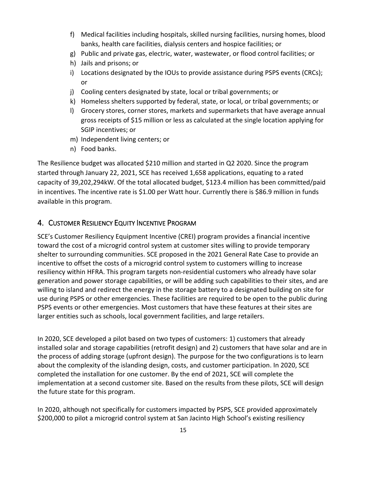- f) Medical facilities including hospitals, skilled nursing facilities, nursing homes, blood banks, health care facilities, dialysis centers and hospice facilities; or
- g) Public and private gas, electric, water, wastewater, or flood control facilities; or
- h) Jails and prisons; or
- i) Locations designated by the IOUs to provide assistance during PSPS events (CRCs); or
- j) Cooling centers designated by state, local or tribal governments; or
- k) Homeless shelters supported by federal, state, or local, or tribal governments; or
- l) Grocery stores, corner stores, markets and supermarkets that have average annual gross receipts of \$15 million or less as calculated at the single location applying for SGIP incentives; or
- m) Independent living centers; or
- n) Food banks.

The Resilience budget was allocated \$210 million and started in Q2 2020. Since the program started through January 22, 2021, SCE has received 1,658 applications, equating to a rated capacity of 39,202,294kW. Of the total allocated budget, \$123.4 million has been committed/paid in incentives. The incentive rate is \$1.00 per Watt hour. Currently there is \$86.9 million in funds available in this program.

#### <span id="page-17-0"></span>4. CUSTOMER RESILIENCY EQUITY INCENTIVE PROGRAM

SCE's Customer Resiliency Equipment Incentive (CREI) program provides a financial incentive toward the cost of a microgrid control system at customer sites willing to provide temporary shelter to surrounding communities. SCE proposed in the 2021 General Rate Case to provide an incentive to offset the costs of a microgrid control system to customers willing to increase resiliency within HFRA. This program targets non-residential customers who already have solar generation and power storage capabilities, or will be adding such capabilities to their sites, and are willing to island and redirect the energy in the storage battery to a designated building on site for use during PSPS or other emergencies. These facilities are required to be open to the public during PSPS events or other emergencies. Most customers that have these features at their sites are larger entities such as schools, local government facilities, and large retailers.

In 2020, SCE developed a pilot based on two types of customers: 1) customers that already installed solar and storage capabilities (retrofit design) and 2) customers that have solar and are in the process of adding storage (upfront design). The purpose for the two configurations is to learn about the complexity of the islanding design, costs, and customer participation. In 2020, SCE completed the installation for one customer. By the end of 2021, SCE will complete the implementation at a second customer site. Based on the results from these pilots, SCE will design the future state for this program.

In 2020, although not specifically for customers impacted by PSPS, SCE provided approximately \$200,000 to pilot a microgrid control system at San Jacinto High School's existing resiliency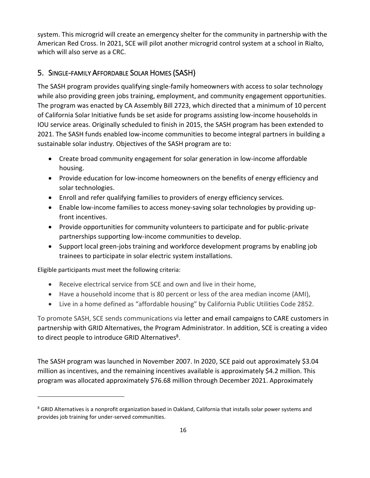system. This microgrid will create an emergency shelter for the community in partnership with the American Red Cross. In 2021, SCE will pilot another microgrid control system at a school in Rialto, which will also serve as a CRC.

# <span id="page-18-0"></span>5. SINGLE-FAMILY AFFORDABLE SOLAR HOMES (SASH)

The SASH program provides qualifying single-family homeowners with access to solar technology while also providing green jobs training, employment, and community engagement opportunities. The program was enacted by CA Assembly Bill 2723, which directed that a minimum of 10 percent of California Solar Initiative funds be set aside for programs assisting low-income households in IOU service areas. Originally scheduled to finish in 2015, the SASH program has been extended to 2021. The SASH funds enabled low-income communities to become integral partners in building a sustainable solar industry. Objectives of the SASH program are to:

- Create broad community engagement for solar generation in low-income affordable housing.
- Provide education for low-income homeowners on the benefits of energy efficiency and solar technologies.
- Enroll and refer qualifying families to providers of energy efficiency services.
- Enable low-income families to access money-saving solar technologies by providing upfront incentives.
- Provide opportunities for community volunteers to participate and for public-private partnerships supporting low-income communities to develop.
- Support local green-jobs training and workforce development programs by enabling job trainees to participate in solar electric system installations.

Eligible participants must meet the following criteria:

- Receive electrical service from SCE and own and live in their home,
- Have a household income that is 80 percent or less of the area median income (AMI),
- Live in a home defined as "affordable housing" by California Public Utilities Code 2852.

To promote SASH, SCE sends communications via letter and email campaigns to CARE customers in partnership with GRID Alternatives, the Program Administrator. In addition, SCE is creating a video to direct people to introduce GRID Alternatives<sup>8</sup>.

The SASH program was launched in November 2007. In 2020, SCE paid out approximately \$3.04 million as incentives, and the remaining incentives available is approximately \$4.2 million. This program was allocated approximately \$76.68 million through December 2021. Approximately

<sup>&</sup>lt;sup>8</sup> GRID Alternatives is a nonprofit organization based in Oakland, California that installs solar power systems and provides job training for under-served communities.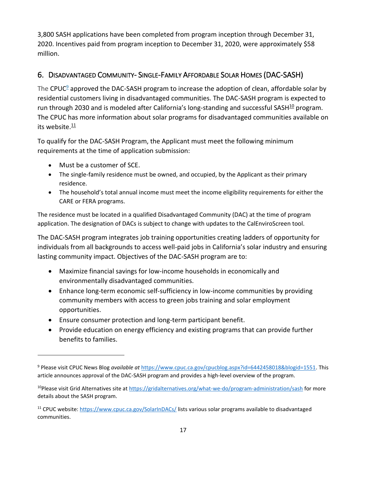3,800 SASH applications have been completed from program inception through December 31, 2020. Incentives paid from program inception to December 31, 2020, were approximately \$58 million.

# <span id="page-19-0"></span>6. DISADVANTAGED COMMUNITY- SINGLE-FAMILY AFFORDABLE SOLAR HOMES (DAC-SASH)

The CPUC<sup>9</sup> approved the DAC-SASH program to increase the adoption of clean, affordable solar by residential customers living in disadvantaged communities. The DAC-SASH program is expected to run through 2030 and is modeled after California's long-standing and successful SASH $^{10}$  program. The CPUC has more information about solar programs for disadvantaged communities available on its website.<sup>11</sup>

To qualify for the DAC-SASH Program, the Applicant must meet the following minimum requirements at the time of application submission:

- Must be a customer of SCE.
- The single-family residence must be owned, and occupied, by the Applicant as their primary residence.
- The household's total annual income must meet the income eligibility requirements for either the CARE or FERA programs.

The residence must be located in a qualified Disadvantaged Community (DAC) at the time of program application. The designation of DACs is subject to change with updates to the CalEnviroScreen tool.

The DAC-SASH program integrates job training opportunities creating ladders of opportunity for individuals from all backgrounds to access well-paid jobs in California's solar industry and ensuring lasting community impact. Objectives of the DAC-SASH program are to:

- Maximize financial savings for low-income households in economically and environmentally disadvantaged communities.
- Enhance long-term economic self-sufficiency in low-income communities by providing community members with access to green jobs training and solar employment opportunities.
- Ensure consumer protection and long-term participant benefit.
- Provide education on energy efficiency and existing programs that can provide further benefits to families.

<sup>9</sup> Please visit CPUC News Blog *available at* [https://www.cpuc.ca.gov/cpucblog.aspx?id=6442458018&blogid=1551.](https://www.cpuc.ca.gov/cpucblog.aspx?id=6442458018&blogid=1551) This article announces approval of the DAC-SASH program and provides a high-level overview of the program.

<sup>&</sup>lt;sup>10</sup>Please visit Grid Alternatives site a[t https://gridalternatives.org/what-we-do/program-administration/sash](https://gridalternatives.org/what-we-do/program-administration/sash) for more details about the SASH program.

<sup>11</sup> CPUC website:<https://www.cpuc.ca.gov/SolarInDACs/> lists various solar programs available to disadvantaged communities.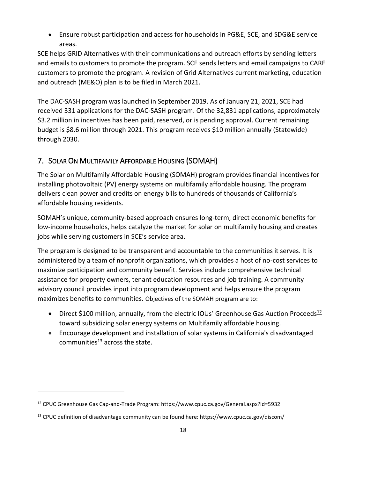• Ensure robust participation and access for households in PG&E, SCE, and SDG&E service areas.

SCE helps GRID Alternatives with their communications and outreach efforts by sending letters and emails to customers to promote the program. SCE sends letters and email campaigns to CARE customers to promote the program. A revision of Grid Alternatives current marketing, education and outreach (ME&O) plan is to be filed in March 2021.

The DAC-SASH program was launched in September 2019. As of January 21, 2021, SCE had received 331 applications for the DAC-SASH program. Of the 32,831 applications, approximately \$3.2 million in incentives has been paid, reserved, or is pending approval. Current remaining budget is \$8.6 million through 2021. This program receives \$10 million annually (Statewide) through 2030.

# <span id="page-20-0"></span>7. SOLAR ON MULTIFAMILY AFFORDABLE HOUSING (SOMAH)

The Solar on Multifamily Affordable Housing (SOMAH) program provides financial incentives for installing photovoltaic (PV) energy systems on multifamily affordable housing. The program delivers clean power and credits on energy bills to hundreds of thousands of California's affordable housing residents.

SOMAH's unique, community-based approach ensures long-term, direct economic benefits for low-income households, helps catalyze the market for solar on multifamily housing and creates jobs while serving customers in SCE's service area.

The program is designed to be transparent and accountable to the communities it serves. It is administered by a team of nonprofit organizations, which provides a host of no-cost services to maximize participation and community benefit. Services include comprehensive technical assistance for property owners, tenant education resources and job training. A community advisory council provides input into program development and helps ensure the program maximizes benefits to communities. Objectives of the SOMAH program are to:

- Direct \$100 million, annually, from the electric IOUs' Greenhouse Gas Auction Proceeds<sup>12</sup> toward subsidizing solar energy systems on Multifamily affordable housing.
- Encourage development and installation of solar systems in California's disadvantaged communities $\frac{13}{2}$  across the state.

<sup>12</sup> CPUC Greenhouse Gas Cap-and-Trade Program: https://www.cpuc.ca.gov/General.aspx?id=5932

<sup>13</sup> CPUC definition of disadvantage community can be found here: https://www.cpuc.ca.gov/discom/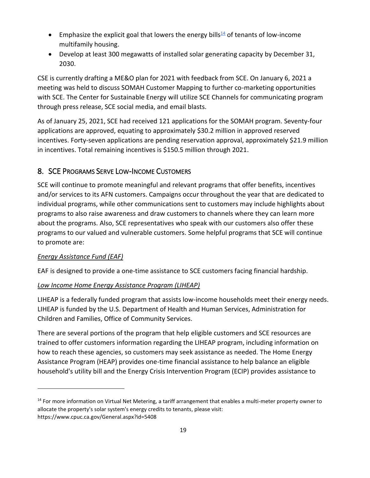- Emphasize the explicit goal that lowers the energy bills<sup>14</sup> of tenants of low-income multifamily housing.
- Develop at least 300 megawatts of installed solar generating capacity by December 31, 2030.

CSE is currently drafting a ME&O plan for 2021 with feedback from SCE. On January 6, 2021 a meeting was held to discuss SOMAH Customer Mapping to further co-marketing opportunities with SCE. The Center for Sustainable Energy will utilize SCE Channels for communicating program through press release, SCE social media, and email blasts.

As of January 25, 2021, SCE had received 121 applications for the SOMAH program. Seventy-four applications are approved, equating to approximately \$30.2 million in approved reserved incentives. Forty-seven applications are pending reservation approval, approximately \$21.9 million in incentives. Total remaining incentives is \$150.5 million through 2021.

# <span id="page-21-0"></span>8. SCE PROGRAMS SERVE LOW-INCOME CUSTOMERS

SCE will continue to promote meaningful and relevant programs that offer benefits, incentives and/or services to its AFN customers. Campaigns occur throughout the year that are dedicated to individual programs, while other communications sent to customers may include highlights about programs to also raise awareness and draw customers to channels where they can learn more about the programs. Also, SCE representatives who speak with our customers also offer these programs to our valued and vulnerable customers. Some helpful programs that SCE will continue to promote are:

#### *Energy Assistance Fund (EAF)*

EAF is designed to provide a one-time assistance to SCE customers facing financial hardship.

#### *Low Income Home Energy Assistance Program (LIHEAP)*

LIHEAP is a federally funded program that assists low-income households meet their energy needs. LIHEAP is funded by the U.S. Department of Health and Human Services, Administration for Children and Families, Office of Community Services.

There are several portions of the program that help eligible customers and SCE resources are trained to offer customers information regarding the LIHEAP program, including information on how to reach these agencies, so customers may seek assistance as needed. The Home Energy Assistance Program (HEAP) provides one-time financial assistance to help balance an eligible household's utility bill and the Energy Crisis Intervention Program (ECIP) provides assistance to

<sup>&</sup>lt;sup>14</sup> For more information on Virtual Net Metering, a tariff arrangement that enables a multi-meter property owner to allocate the property's solar system's energy credits to tenants, please visit: https://www.cpuc.ca.gov/General.aspx?id=5408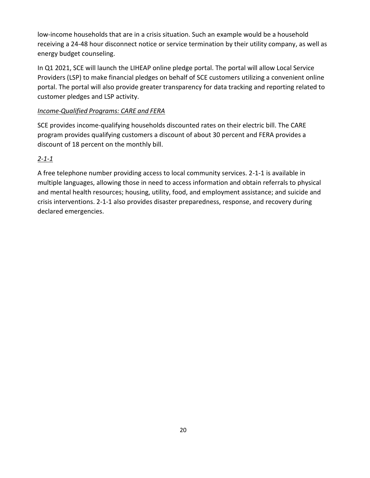low-income households that are in a crisis situation. Such an example would be a household receiving a 24-48 hour disconnect notice or service termination by their utility company, as well as energy budget counseling.

In Q1 2021, SCE will launch the LIHEAP online pledge portal. The portal will allow Local Service Providers (LSP) to make financial pledges on behalf of SCE customers utilizing a convenient online portal. The portal will also provide greater transparency for data tracking and reporting related to customer pledges and LSP activity.

#### *Income-Qualified Programs: CARE and FERA*

SCE provides income-qualifying households discounted rates on their electric bill. The CARE program provides qualifying customers a discount of about 30 percent and FERA provides a discount of 18 percent on the monthly bill.

#### *2-1-1*

A free telephone number providing access to local community services. 2-1-1 is available in multiple languages, allowing those in need to access information and obtain referrals to physical and mental health resources; housing, utility, food, and employment assistance; and suicide and crisis interventions. 2-1-1 also provides disaster preparedness, response, and recovery during declared emergencies.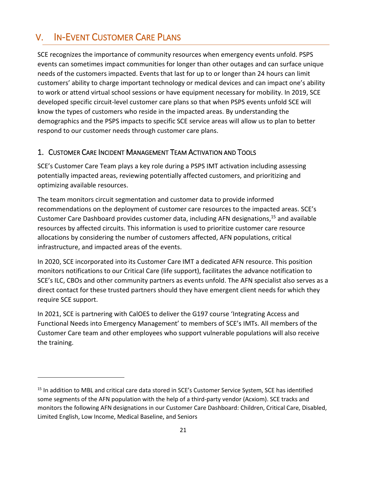# <span id="page-23-0"></span>V. IN-EVENT CUSTOMER CARE PLANS

SCE recognizes the importance of community resources when emergency events unfold. PSPS events can sometimes impact communities for longer than other outages and can surface unique needs of the customers impacted. Events that last for up to or longer than 24 hours can limit customers' ability to charge important technology or medical devices and can impact one's ability to work or attend virtual school sessions or have equipment necessary for mobility. In 2019, SCE developed specific circuit-level customer care plans so that when PSPS events unfold SCE will know the types of customers who reside in the impacted areas. By understanding the demographics and the PSPS impacts to specific SCE service areas will allow us to plan to better respond to our customer needs through customer care plans.

#### <span id="page-23-1"></span>1. CUSTOMER CARE INCIDENT MANAGEMENT TEAM ACTIVATION AND TOOLS

SCE's Customer Care Team plays a key role during a PSPS IMT activation including assessing potentially impacted areas, reviewing potentially affected customers, and prioritizing and optimizing available resources.

The team monitors circuit segmentation and customer data to provide informed recommendations on the deployment of customer care resources to the impacted areas. SCE's Customer Care Dashboard provides customer data, including AFN designations, <sup>15</sup> and available resources by affected circuits. This information is used to prioritize customer care resource allocations by considering the number of customers affected, AFN populations, critical infrastructure, and impacted areas of the events.

In 2020, SCE incorporated into its Customer Care IMT a dedicated AFN resource. This position monitors notifications to our Critical Care (life support), facilitates the advance notification to SCE's ILC, CBOs and other community partners as events unfold. The AFN specialist also serves as a direct contact for these trusted partners should they have emergent client needs for which they require SCE support.

In 2021, SCE is partnering with CalOES to deliver the G197 course 'Integrating Access and Functional Needs into Emergency Management' to members of SCE's IMTs. All members of the Customer Care team and other employees who support vulnerable populations will also receive the training.

<sup>&</sup>lt;sup>15</sup> In addition to MBL and critical care data stored in SCE's Customer Service System, SCE has identified some segments of the AFN population with the help of a third-party vendor (Acxiom). SCE tracks and monitors the following AFN designations in our Customer Care Dashboard: Children, Critical Care, Disabled, Limited English, Low Income, Medical Baseline, and Seniors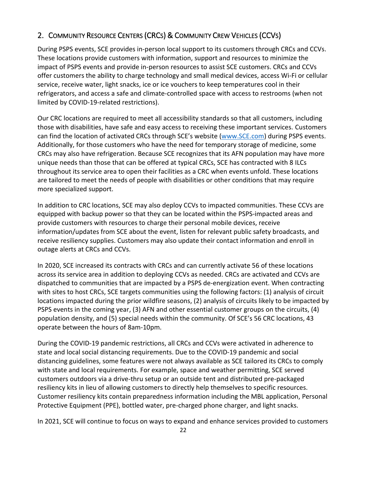# <span id="page-24-0"></span>2. COMMUNITY RESOURCE CENTERS (CRCS) & COMMUNITY CREW VEHICLES (CCVS)

During PSPS events, SCE provides in-person local support to its customers through CRCs and CCVs. These locations provide customers with information, support and resources to minimize the impact of PSPS events and provide in-person resources to assist SCE customers. CRCs and CCVs offer customers the ability to charge technology and small medical devices, access Wi-Fi or cellular service, receive water, light snacks, ice or ice vouchers to keep temperatures cool in their refrigerators, and access a safe and climate-controlled space with access to restrooms (when not limited by COVID-19-related restrictions).

Our CRC locations are required to meet all accessibility standards so that all customers, including those with disabilities, have safe and easy access to receiving these important services. Customers can find the location of activated CRCs through SCE's website [\(www.SCE.com\)](http://www.sce.com/) during PSPS events. Additionally, for those customers who have the need for temporary storage of medicine, some CRCs may also have refrigeration. Because SCE recognizes that its AFN population may have more unique needs than those that can be offered at typical CRCs, SCE has contracted with 8 ILCs throughout its service area to open their facilities as a CRC when events unfold. These locations are tailored to meet the needs of people with disabilities or other conditions that may require more specialized support.

In addition to CRC locations, SCE may also deploy CCVs to impacted communities. These CCVs are equipped with backup power so that they can be located within the PSPS-impacted areas and provide customers with resources to charge their personal mobile devices, receive information/updates from SCE about the event, listen for relevant public safety broadcasts, and receive resiliency supplies. Customers may also update their contact information and enroll in outage alerts at CRCs and CCVs.

In 2020, SCE increased its contracts with CRCs and can currently activate 56 of these locations across its service area in addition to deploying CCVs as needed. CRCs are activated and CCVs are dispatched to communities that are impacted by a PSPS de-energization event. When contracting with sites to host CRCs, SCE targets communities using the following factors: (1) analysis of circuit locations impacted during the prior wildfire seasons, (2) analysis of circuits likely to be impacted by PSPS events in the coming year, (3) AFN and other essential customer groups on the circuits, (4) population density, and (5) special needs within the community. Of SCE's 56 CRC locations, 43 operate between the hours of 8am-10pm.

During the COVID-19 pandemic restrictions, all CRCs and CCVs were activated in adherence to state and local social distancing requirements. Due to the COVID-19 pandemic and social distancing guidelines, some features were not always available as SCE tailored its CRCs to comply with state and local requirements. For example, space and weather permitting, SCE served customers outdoors via a drive-thru setup or an outside tent and distributed pre-packaged resiliency kits in lieu of allowing customers to directly help themselves to specific resources. Customer resiliency kits contain preparedness information including the MBL application, Personal Protective Equipment (PPE), bottled water, pre-charged phone charger, and light snacks.

In 2021, SCE will continue to focus on ways to expand and enhance services provided to customers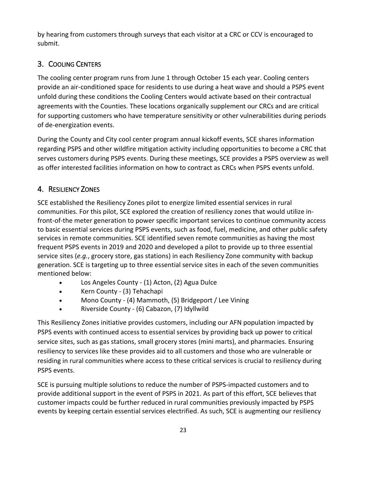by hearing from customers through surveys that each visitor at a CRC or CCV is encouraged to submit.

# <span id="page-25-0"></span>3. COOLING CENTERS

The cooling center program runs from June 1 through October 15 each year. Cooling centers provide an air-conditioned space for residents to use during a heat wave and should a PSPS event unfold during these conditions the Cooling Centers would activate based on their contractual agreements with the Counties. These locations organically supplement our CRCs and are critical for supporting customers who have temperature sensitivity or other vulnerabilities during periods of de-energization events.

During the County and City cool center program annual kickoff events, SCE shares information regarding PSPS and other wildfire mitigation activity including opportunities to become a CRC that serves customers during PSPS events. During these meetings, SCE provides a PSPS overview as well as offer interested facilities information on how to contract as CRCs when PSPS events unfold.

# <span id="page-25-1"></span>4. RESILIENCY ZONES

SCE established the Resiliency Zones pilot to energize limited essential services in rural communities. For this pilot, SCE explored the creation of resiliency zones that would utilize infront-of-the meter generation to power specific important services to continue community access to basic essential services during PSPS events, such as food, fuel, medicine, and other public safety services in remote communities. SCE identified seven remote communities as having the most frequent PSPS events in 2019 and 2020 and developed a pilot to provide up to three essential service sites (*e.g.*, grocery store, gas stations) in each Resiliency Zone community with backup generation. SCE is targeting up to three essential service sites in each of the seven communities mentioned below:

- Los Angeles County (1) Acton, (2) Agua Dulce
- Kern County (3) Tehachapi
- Mono County (4) Mammoth, (5) Bridgeport / Lee Vining
- Riverside County (6) Cabazon, (7) Idyllwild

This Resiliency Zones initiative provides customers, including our AFN population impacted by PSPS events with continued access to essential services by providing back up power to critical service sites, such as gas stations, small grocery stores (mini marts), and pharmacies. Ensuring resiliency to services like these provides aid to all customers and those who are vulnerable or residing in rural communities where access to these critical services is crucial to resiliency during PSPS events.

SCE is pursuing multiple solutions to reduce the number of PSPS-impacted customers and to provide additional support in the event of PSPS in 2021. As part of this effort, SCE believes that customer impacts could be further reduced in rural communities previously impacted by PSPS events by keeping certain essential services electrified. As such, SCE is augmenting our resiliency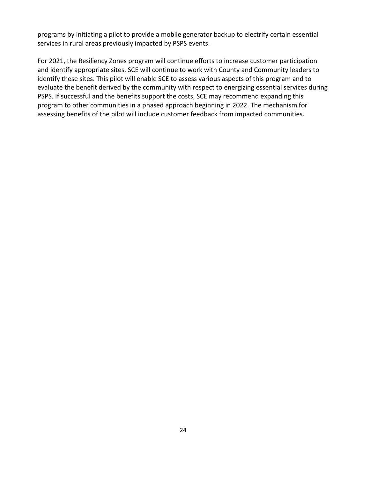programs by initiating a pilot to provide a mobile generator backup to electrify certain essential services in rural areas previously impacted by PSPS events.

For 2021, the Resiliency Zones program will continue efforts to increase customer participation and identify appropriate sites. SCE will continue to work with County and Community leaders to identify these sites. This pilot will enable SCE to assess various aspects of this program and to evaluate the benefit derived by the community with respect to energizing essential services during PSPS. If successful and the benefits support the costs, SCE may recommend expanding this program to other communities in a phased approach beginning in 2022. The mechanism for assessing benefits of the pilot will include customer feedback from impacted communities.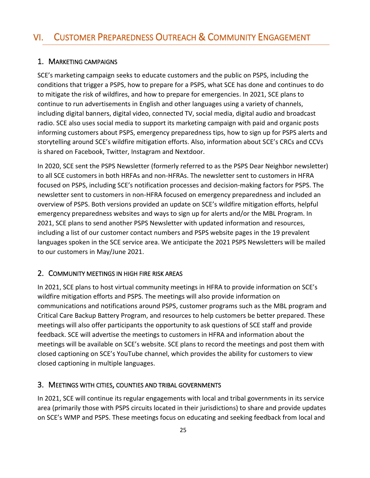## <span id="page-27-1"></span><span id="page-27-0"></span>1. MARKETING CAMPAIGNS

SCE's marketing campaign seeks to educate customers and the public on PSPS, including the conditions that trigger a PSPS, how to prepare for a PSPS, what SCE has done and continues to do to mitigate the risk of wildfires, and how to prepare for emergencies. In 2021, SCE plans to continue to run advertisements in English and other languages using a variety of channels, including digital banners, digital video, connected TV, social media, digital audio and broadcast radio. SCE also uses social media to support its marketing campaign with paid and organic posts informing customers about PSPS, emergency preparedness tips, how to sign up for PSPS alerts and storytelling around SCE's wildfire mitigation efforts. Also, information about SCE's CRCs and CCVs is shared on Facebook, Twitter, Instagram and Nextdoor.

In 2020, SCE sent the PSPS Newsletter (formerly referred to as the PSPS Dear Neighbor newsletter) to all SCE customers in both HRFAs and non-HFRAs. The newsletter sent to customers in HFRA focused on PSPS, including SCE's notification processes and decision-making factors for PSPS. The newsletter sent to customers in non-HFRA focused on emergency preparedness and included an overview of PSPS. Both versions provided an update on SCE's wildfire mitigation efforts, helpful emergency preparedness websites and ways to sign up for alerts and/or the MBL Program. In 2021, SCE plans to send another PSPS Newsletter with updated information and resources, including a list of our customer contact numbers and PSPS website pages in the 19 prevalent languages spoken in the SCE service area. We anticipate the 2021 PSPS Newsletters will be mailed to our customers in May/June 2021.

# <span id="page-27-2"></span>2. COMMUNITY MEETINGS IN HIGH FIRE RISK AREAS

In 2021, SCE plans to host virtual community meetings in HFRA to provide information on SCE's wildfire mitigation efforts and PSPS. The meetings will also provide information on communications and notifications around PSPS, customer programs such as the MBL program and Critical Care Backup Battery Program, and resources to help customers be better prepared. These meetings will also offer participants the opportunity to ask questions of SCE staff and provide feedback. SCE will advertise the meetings to customers in HFRA and information about the meetings will be available on SCE's website. SCE plans to record the meetings and post them with closed captioning on SCE's YouTube channel, which provides the ability for customers to view closed captioning in multiple languages.

#### <span id="page-27-3"></span>3. MEETINGS WITH CITIES, COUNTIES AND TRIBAL GOVERNMENTS

In 2021, SCE will continue its regular engagements with local and tribal governments in its service area (primarily those with PSPS circuits located in their jurisdictions) to share and provide updates on SCE's WMP and PSPS. These meetings focus on educating and seeking feedback from local and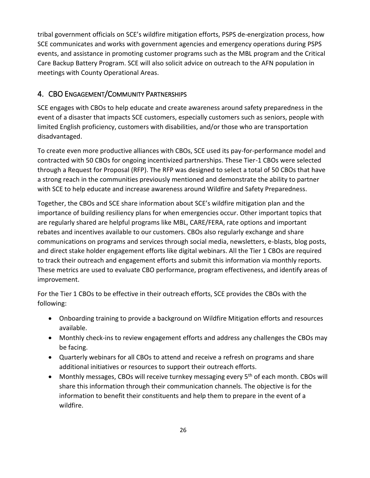tribal government officials on SCE's wildfire mitigation efforts, PSPS de-energization process, how SCE communicates and works with government agencies and emergency operations during PSPS events, and assistance in promoting customer programs such as the MBL program and the Critical Care Backup Battery Program. SCE will also solicit advice on outreach to the AFN population in meetings with County Operational Areas.

# <span id="page-28-0"></span>4. CBO ENGAGEMENT/COMMUNITY PARTNERSHIPS

SCE engages with CBOs to help educate and create awareness around safety preparedness in the event of a disaster that impacts SCE customers, especially customers such as seniors, people with limited English proficiency, customers with disabilities, and/or those who are transportation disadvantaged.

To create even more productive alliances with CBOs, SCE used its pay-for-performance model and contracted with 50 CBOs for ongoing incentivized partnerships. These Tier-1 CBOs were selected through a Request for Proposal (RFP). The RFP was designed to select a total of 50 CBOs that have a strong reach in the communities previously mentioned and demonstrate the ability to partner with SCE to help educate and increase awareness around Wildfire and Safety Preparedness.

Together, the CBOs and SCE share information about SCE's wildfire mitigation plan and the importance of building resiliency plans for when emergencies occur. Other important topics that are regularly shared are helpful programs like MBL, CARE/FERA, rate options and important rebates and incentives available to our customers. CBOs also regularly exchange and share communications on programs and services through social media, newsletters, e-blasts, blog posts, and direct stake holder engagement efforts like digital webinars. All the Tier 1 CBOs are required to track their outreach and engagement efforts and submit this information via monthly reports. These metrics are used to evaluate CBO performance, program effectiveness, and identify areas of improvement.

For the Tier 1 CBOs to be effective in their outreach efforts, SCE provides the CBOs with the following:

- Onboarding training to provide a background on Wildfire Mitigation efforts and resources available.
- Monthly check-ins to review engagement efforts and address any challenges the CBOs may be facing.
- Quarterly webinars for all CBOs to attend and receive a refresh on programs and share additional initiatives or resources to support their outreach efforts.
- Monthly messages, CBOs will receive turnkey messaging every 5<sup>th</sup> of each month. CBOs will share this information through their communication channels. The objective is for the information to benefit their constituents and help them to prepare in the event of a wildfire.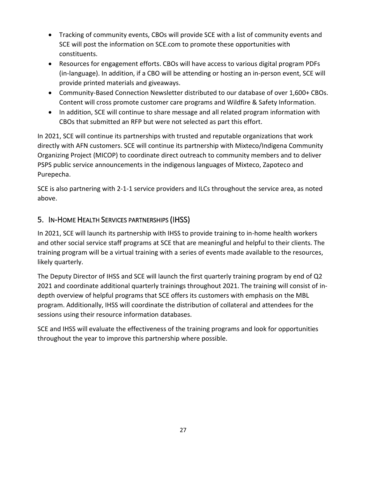- Tracking of community events, CBOs will provide SCE with a list of community events and SCE will post the information on SCE.com to promote these opportunities with constituents.
- Resources for engagement efforts. CBOs will have access to various digital program PDFs (in-language). In addition, if a CBO will be attending or hosting an in-person event, SCE will provide printed materials and giveaways.
- Community-Based Connection Newsletter distributed to our database of over 1,600+ CBOs. Content will cross promote customer care programs and Wildfire & Safety Information.
- In addition, SCE will continue to share message and all related program information with CBOs that submitted an RFP but were not selected as part this effort.

In 2021, SCE will continue its partnerships with trusted and reputable organizations that work directly with AFN customers. SCE will continue its partnership with Mixteco/Indigena Community Organizing Project (MICOP) to coordinate direct outreach to community members and to deliver PSPS public service announcements in the indigenous languages of Mixteco, Zapoteco and Purepecha.

SCE is also partnering with 2-1-1 service providers and ILCs throughout the service area, as noted above.

# <span id="page-29-0"></span>5. IN-HOME HEALTH SERVICES PARTNERSHIPS (IHSS)

In 2021, SCE will launch its partnership with IHSS to provide training to in-home health workers and other social service staff programs at SCE that are meaningful and helpful to their clients. The training program will be a virtual training with a series of events made available to the resources, likely quarterly.

The Deputy Director of IHSS and SCE will launch the first quarterly training program by end of Q2 2021 and coordinate additional quarterly trainings throughout 2021. The training will consist of indepth overview of helpful programs that SCE offers its customers with emphasis on the MBL program. Additionally, IHSS will coordinate the distribution of collateral and attendees for the sessions using their resource information databases.

SCE and IHSS will evaluate the effectiveness of the training programs and look for opportunities throughout the year to improve this partnership where possible.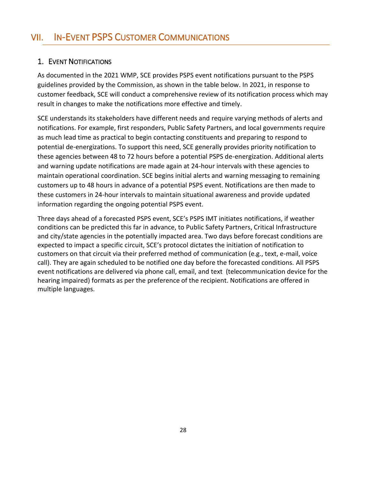# <span id="page-30-1"></span><span id="page-30-0"></span>1. EVENT NOTIFICATIONS

As documented in the 2021 WMP, SCE provides PSPS event notifications pursuant to the PSPS guidelines provided by the Commission, as shown in the table below. In 2021, in response to customer feedback, SCE will conduct a comprehensive review of its notification process which may result in changes to make the notifications more effective and timely.

SCE understands its stakeholders have different needs and require varying methods of alerts and notifications. For example, first responders, Public Safety Partners, and local governments require as much lead time as practical to begin contacting constituents and preparing to respond to potential de-energizations. To support this need, SCE generally provides priority notification to these agencies between 48 to 72 hours before a potential PSPS de-energization. Additional alerts and warning update notifications are made again at 24-hour intervals with these agencies to maintain operational coordination. SCE begins initial alerts and warning messaging to remaining customers up to 48 hours in advance of a potential PSPS event. Notifications are then made to these customers in 24-hour intervals to maintain situational awareness and provide updated information regarding the ongoing potential PSPS event.

Three days ahead of a forecasted PSPS event, SCE's PSPS IMT initiates notifications, if weather conditions can be predicted this far in advance, to Public Safety Partners, Critical Infrastructure and city/state agencies in the potentially impacted area. Two days before forecast conditions are expected to impact a specific circuit, SCE's protocol dictates the initiation of notification to customers on that circuit via their preferred method of communication (e.g., text, e-mail, voice call). They are again scheduled to be notified one day before the forecasted conditions. All PSPS event notifications are delivered via phone call, email, and text (telecommunication device for the hearing impaired) formats as per the preference of the recipient. Notifications are offered in multiple languages.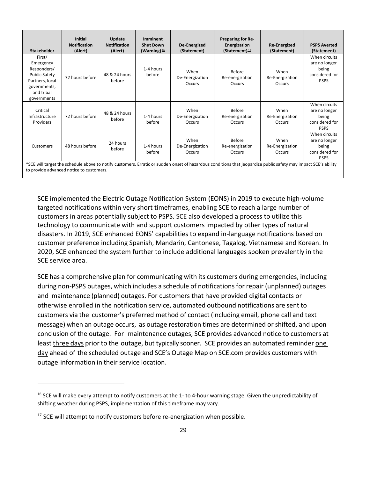| <b>Stakeholder</b>                                                                                                         | <b>Initial</b><br><b>Notification</b><br>(Alert) | Update<br><b>Notification</b><br>(Alert) | Imminent<br><b>Shut Down</b><br>(Warning) $\frac{16}{1}$ | De-Energized<br>(Statement)              | Preparing for Re-<br>Energization<br>(Statement) $17$ | <b>Re-Energized</b><br>(Statement) | <b>PSPS Averted</b><br>(Statement)                                       |
|----------------------------------------------------------------------------------------------------------------------------|--------------------------------------------------|------------------------------------------|----------------------------------------------------------|------------------------------------------|-------------------------------------------------------|------------------------------------|--------------------------------------------------------------------------|
| First/<br>Emergency<br>Responders/<br><b>Public Safety</b><br>Partners, local<br>governments,<br>and tribal<br>governments | 72 hours before                                  | 48 & 24 hours<br>before                  | 1-4 hours<br>before                                      | When<br>De-Energization<br><b>Occurs</b> | Before<br>Re-energization<br>Occurs                   | When<br>Re-Energization<br>Occurs  | When circuits<br>are no longer<br>being<br>considered for<br><b>PSPS</b> |
| Critical<br>Infrastructure<br>Providers                                                                                    | 72 hours before                                  | 48 & 24 hours<br>before                  | 1-4 hours<br>before                                      | When<br>De-Energization<br><b>Occurs</b> | <b>Before</b><br>Re-energization<br><b>Occurs</b>     | When<br>Re-Energization<br>Occurs  | When circuits<br>are no longer<br>being<br>considered for<br><b>PSPS</b> |
| Customers                                                                                                                  | 48 hours before                                  | 24 hours<br>before                       | 1-4 hours<br>before                                      | When<br>De-Energization<br><b>Occurs</b> | Before<br>Re-energization<br><b>Occurs</b>            | When<br>Re-Energization<br>Occurs  | When circuits<br>are no longer<br>being<br>considered for<br><b>PSPS</b> |

\*SCE will target the schedule above to notify customers. Erratic or sudden onset of hazardous conditions that jeopardize public safety may impact SCE's ability to provide advanced notice to customers.

SCE implemented the Electric Outage Notification System (EONS) in 2019 to execute high-volume targeted notifications within very short timeframes, enabling SCE to reach a large number of customers in areas potentially subject to PSPS. SCE also developed a process to utilize this technology to communicate with and support customers impacted by other types of natural disasters. In 2019, SCE enhanced EONS' capabilities to expand in-language notifications based on customer preference including Spanish, Mandarin, Cantonese, Tagalog, Vietnamese and Korean. In 2020, SCE enhanced the system further to include additional languages spoken prevalently in the SCE service area.

SCE has a comprehensive plan for communicating with its customers during emergencies, including during non-PSPS outages, which includes a schedule of notifications for repair (unplanned) outages and maintenance (planned) outages. For customers that have provided digital contacts or otherwise enrolled in the notification service, automated outbound notifications are sent to customers via the customer's preferred method of contact (including email, phone call and text message) when an outage occurs, as outage restoration times are determined or shifted, and upon conclusion of the outage. For maintenance outages, SCE provides advanced notice to customers at least three days prior to the outage, but typically sooner. SCE provides an automated reminder one day ahead of the scheduled outage and SCE's Outage Map on SCE.com provides customers with outage information in their service location.

<sup>&</sup>lt;sup>16</sup> SCE will make every attempt to notify customers at the 1- to 4-hour warning stage. Given the unpredictability of shifting weather during PSPS, implementation of this timeframe may vary.

<sup>&</sup>lt;sup>17</sup> SCE will attempt to notify customers before re-energization when possible.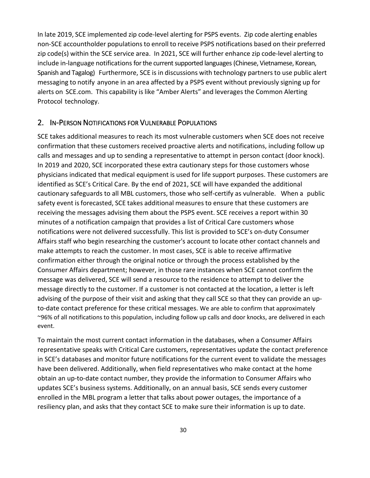In late 2019, SCE implemented zip code-level alerting for PSPS events. Zip code alerting enables non-SCE accountholder populations to enroll to receive PSPS notifications based on their preferred zip code(s) within the SCE service area. In 2021, SCE will further enhance zip code-level alerting to include in-language notifications for the current supported languages (Chinese, Vietnamese, Korean, Spanish and Tagalog) Furthermore, SCE is in discussions with technology partnersto use public alert messaging to notify anyone in an area affected by a PSPS event without previously signing up for alerts on SCE.com. This capability islike "Amber Alerts" and leverages the Common Alerting Protocol technology.

#### <span id="page-32-0"></span>2. IN-PERSON NOTIFICATIONS FOR VULNERABLE POPULATIONS

SCE takes additional measures to reach its most vulnerable customers when SCE does not receive confirmation that these customers received proactive alerts and notifications, including follow up calls and messages and up to sending a representative to attempt in person contact (door knock). In 2019 and 2020, SCE incorporated these extra cautionary steps for those customers whose physicians indicated that medical equipment is used for life support purposes. These customers are identified as SCE's Critical Care. By the end of 2021, SCE will have expanded the additional cautionary safeguards to all MBL customers, those who self-certify as vulnerable. When a public safety event is forecasted, SCE takes additional measures to ensure that these customers are receiving the messages advising them about the PSPS event. SCE receives a report within 30 minutes of a notification campaign that provides a list of Critical Care customers whose notifications were not delivered successfully. This list is provided to SCE's on-duty Consumer Affairs staff who begin researching the customer's account to locate other contact channels and make attempts to reach the customer. In most cases, SCE is able to receive affirmative confirmation either through the original notice or through the process established by the Consumer Affairs department; however, in those rare instances when SCE cannot confirm the message was delivered, SCE will send a resource to the residence to attempt to deliver the message directly to the customer. If a customer is not contacted at the location, a letter is left advising of the purpose of their visit and asking that they call SCE so that they can provide an upto-date contact preference for these critical messages. We are able to confirm that approximately ~96% of all notifications to this population, including follow up calls and door knocks, are delivered in each event.

To maintain the most current contact information in the databases, when a Consumer Affairs representative speaks with Critical Care customers, representatives update the contact preference in SCE's databases and monitor future notifications for the current event to validate the messages have been delivered. Additionally, when field representatives who make contact at the home obtain an up-to-date contact number, they provide the information to Consumer Affairs who updates SCE's business systems. Additionally, on an annual basis, SCE sends every customer enrolled in the MBL program a letter that talks about power outages, the importance of a resiliency plan, and asks that they contact SCE to make sure their information is up to date.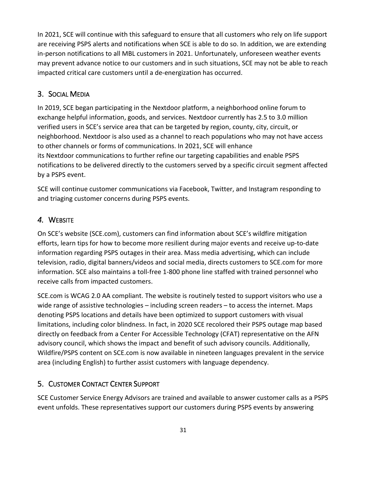In 2021, SCE will continue with this safeguard to ensure that all customers who rely on life support are receiving PSPS alerts and notifications when SCE is able to do so. In addition, we are extending in-person notifications to all MBL customers in 2021. Unfortunately, unforeseen weather events may prevent advance notice to our customers and in such situations, SCE may not be able to reach impacted critical care customers until a de-energization has occurred.

# <span id="page-33-0"></span>3. SOCIAL MEDIA

In 2019, SCE began participating in the Nextdoor platform, a neighborhood online forum to exchange helpful information, goods, and services. Nextdoor currently has 2.5 to 3.0 million verified users in SCE's service area that can be targeted by region, county, city, circuit, or neighborhood. Nextdoor is also used as a channel to reach populations who may not have access to other channels or forms of communications. In 2021, SCE will enhance its Nextdoor communications to further refine our targeting capabilities and enable PSPS notifications to be delivered directly to the customers served by a specific circuit segment affected by a PSPS event.

SCE will continue customer communications via Facebook, Twitter, and Instagram responding to and triaging customer concerns during PSPS events.

# <span id="page-33-1"></span>*4.* WEBSITE

On SCE's website (SCE.com), customers can find information about SCE's wildfire mitigation efforts, learn tips for how to become more resilient during major events and receive up-to-date information regarding PSPS outages in their area. Mass media advertising, which can include television, radio, digital banners/videos and social media, directs customers to SCE.com for more information. SCE also maintains a toll-free 1-800 phone line staffed with trained personnel who receive calls from impacted customers.

SCE.com is WCAG 2.0 AA compliant. The website is routinely tested to support visitors who use a wide range of assistive technologies – including screen readers – to access the internet. Maps denoting PSPS locations and details have been optimized to support customers with visual limitations, including color blindness. In fact, in 2020 SCE recolored their PSPS outage map based directly on feedback from a Center For Accessible Technology (CFAT) representative on the AFN advisory council, which shows the impact and benefit of such advisory councils. Additionally, Wildfire/PSPS content on SCE.com is now available in nineteen languages prevalent in the service area (including English) to further assist customers with language dependency.

## <span id="page-33-2"></span>5. CUSTOMER CONTACT CENTER SUPPORT

SCE Customer Service Energy Advisors are trained and available to answer customer calls as a PSPS event unfolds. These representatives support our customers during PSPS events by answering